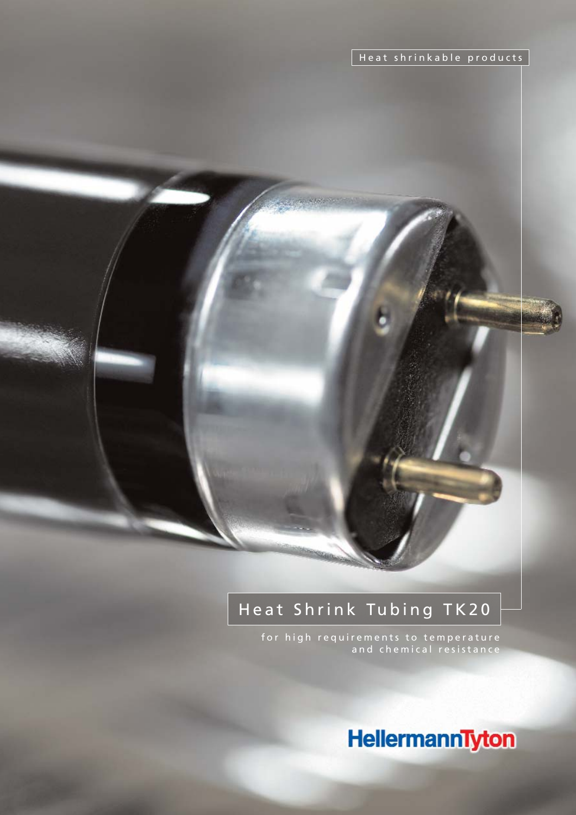Heat shrinkable products

# Heat Shrink Tubing TK20

for high requirements to temperature and chemical resistance

HellermannTyton